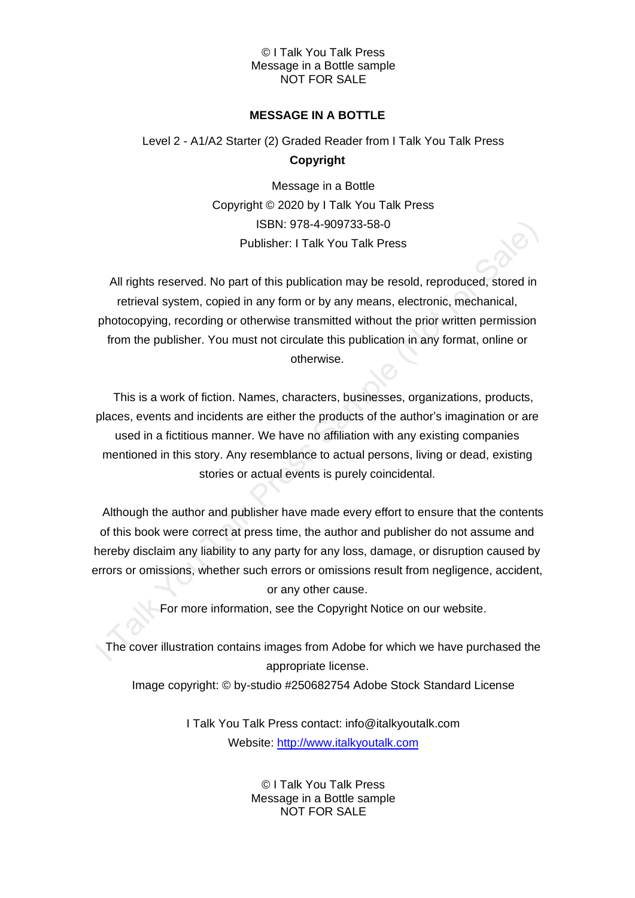## **MESSAGE IN A BOTTLE**

# Level 2 - A1/A2 Starter (2) Graded Reader from I Talk You Talk Press **Copyright**

Message in a Bottle Copyright © 2020 by I Talk You Talk Press ISBN: 978-4-909733-58-0 Publisher: I Talk You Talk Press

All rights reserved. No part of this publication may be resold, reproduced, stored in retrieval system, copied in any form or by any means, electronic, mechanical, photocopying, recording or otherwise transmitted without the prior written permission from the publisher. You must not circulate this publication in any format, online or otherwise.

This is a work of fiction. Names, characters, businesses, organizations, products, places, events and incidents are either the products of the author's imagination or are used in a fictitious manner. We have no affiliation with any existing companies mentioned in this story. Any resemblance to actual persons, living or dead, existing stories or actual events is purely coincidental.

Although the author and publisher have made every effort to ensure that the contents of this book were correct at press time, the author and publisher do not assume and hereby disclaim any liability to any party for any loss, damage, or disruption caused by errors or omissions, whether such errors or omissions result from negligence, accident, or any other cause.

For more information, see the Copyright Notice on our website.

The cover illustration contains images from Adobe for which we have purchased the appropriate license.

Image copyright: © by-studio #250682754 Adobe Stock Standard License

I Talk You Talk Press contact: info@italkyoutalk.com Website: [http://www.italkyoutalk.com](http://www.italkyoutalk.com/)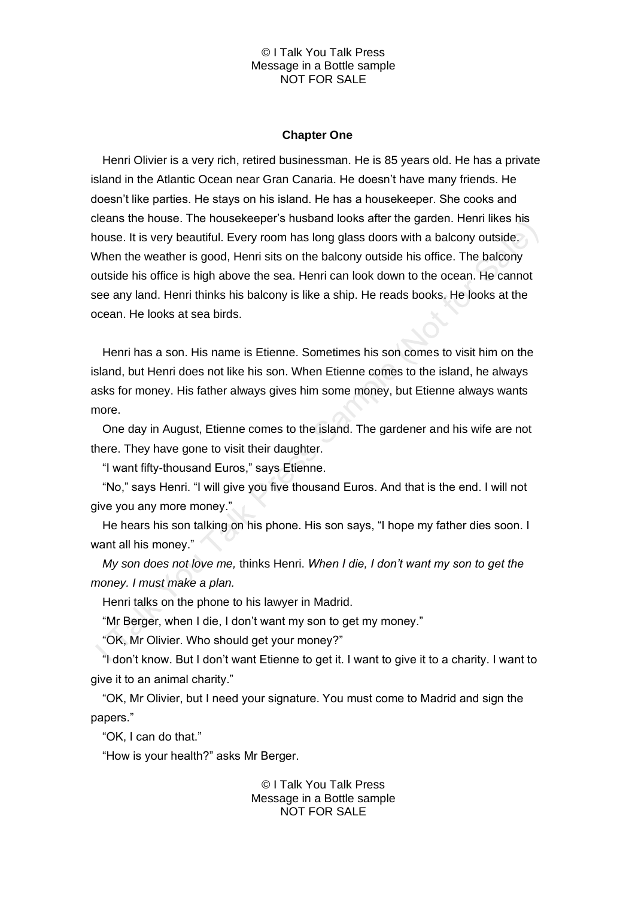#### **Chapter One**

Henri Olivier is a very rich, retired businessman. He is 85 years old. He has a private island in the Atlantic Ocean near Gran Canaria. He doesn't have many friends. He doesn't like parties. He stays on his island. He has a housekeeper. She cooks and cleans the house. The housekeeper's husband looks after the garden. Henri likes his house. It is very beautiful. Every room has long glass doors with a balcony outside. When the weather is good, Henri sits on the balcony outside his office. The balcony outside his office is high above the sea. Henri can look down to the ocean. He cannot see any land. Henri thinks his balcony is like a ship. He reads books. He looks at the ocean. He looks at sea birds.

Henri has a son. His name is Etienne. Sometimes his son comes to visit him on the island, but Henri does not like his son. When Etienne comes to the island, he always asks for money. His father always gives him some money, but Etienne always wants more.

One day in August, Etienne comes to the island. The gardener and his wife are not there. They have gone to visit their daughter.

"I want fifty-thousand Euros," says Etienne.

"No," says Henri. "I will give you five thousand Euros. And that is the end. I will not give you any more money."

He hears his son talking on his phone. His son says, "I hope my father dies soon. I want all his money."

*My son does not love me,* thinks Henri. *When I die, I don't want my son to get the money. I must make a plan.*

Henri talks on the phone to his lawyer in Madrid.

"Mr Berger, when I die, I don't want my son to get my money."

"OK, Mr Olivier. Who should get your money?"

"I don't know. But I don't want Etienne to get it. I want to give it to a charity. I want to give it to an animal charity."

"OK, Mr Olivier, but I need your signature. You must come to Madrid and sign the papers."

"OK, I can do that."

"How is your health?" asks Mr Berger.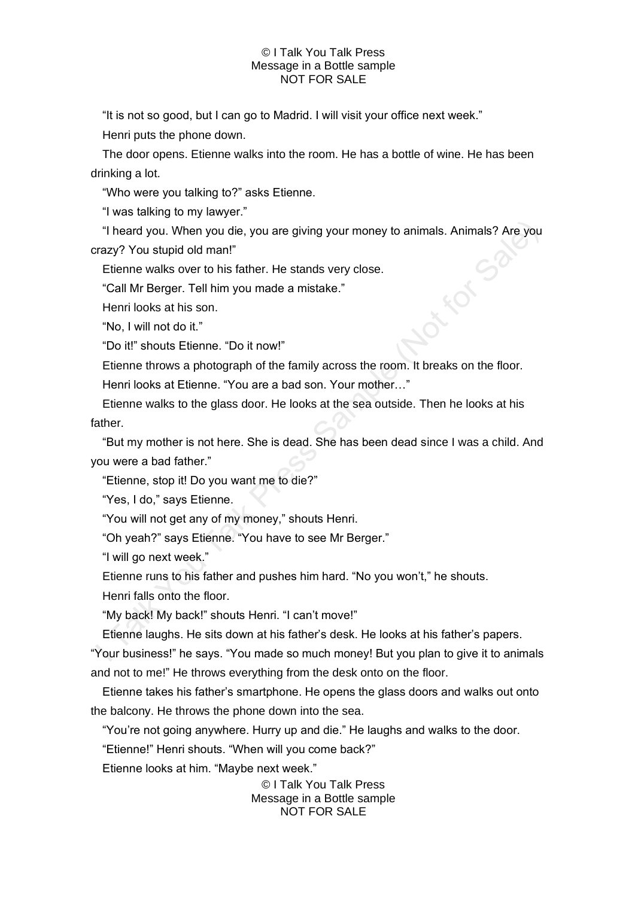"It is not so good, but I can go to Madrid. I will visit your office next week." Henri puts the phone down.

The door opens. Etienne walks into the room. He has a bottle of wine. He has been drinking a lot.

"Who were you talking to?" asks Etienne.

"I was talking to my lawyer."

"I heard you. When you die, you are giving your money to animals. Animals? Are you azy? You stupid old man!"<br>Etienne walks over to his father. He stands very close.<br>"Call Mr Berger. Tell him you made a mistake."<br>Henri look crazy? You stupid old man!"

Etienne walks over to his father. He stands very close.

"Call Mr Berger. Tell him you made a mistake."

Henri looks at his son.

"No, I will not do it."

"Do it!" shouts Etienne. "Do it now!"

Etienne throws a photograph of the family across the room. It breaks on the floor.

Henri looks at Etienne. "You are a bad son. Your mother…"

Etienne walks to the glass door. He looks at the sea outside. Then he looks at his father.

"But my mother is not here. She is dead. She has been dead since I was a child. And you were a bad father."

"Etienne, stop it! Do you want me to die?"

"Yes, I do," says Etienne.

"You will not get any of my money," shouts Henri.

"Oh yeah?" says Etienne. "You have to see Mr Berger."

"I will go next week."

Etienne runs to his father and pushes him hard. "No you won't," he shouts.

Henri falls onto the floor.

"My back! My back!" shouts Henri. "I can't move!"

Etienne laughs. He sits down at his father's desk. He looks at his father's papers.

"Your business!" he says. "You made so much money! But you plan to give it to animals and not to me!" He throws everything from the desk onto on the floor.

Etienne takes his father's smartphone. He opens the glass doors and walks out onto the balcony. He throws the phone down into the sea.

"You're not going anywhere. Hurry up and die." He laughs and walks to the door.

"Etienne!" Henri shouts. "When will you come back?"

Etienne looks at him. "Maybe next week."